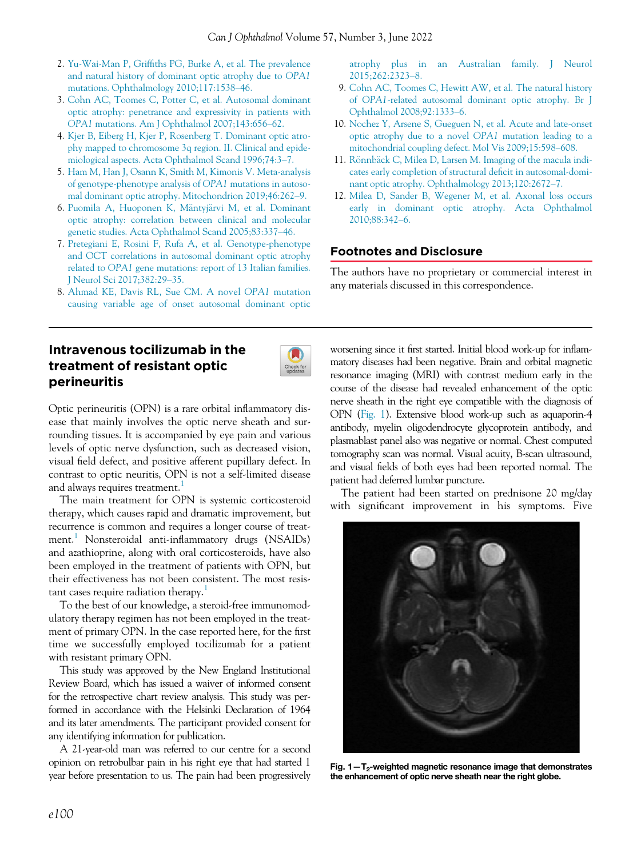- 2. Yu-Wai-Man P, Griffi[ths PG, Burke A, et al. The prevalence](http://refhub.elsevier.com/S0008-4182(21)00301-X/sbref0017_2225) [and natural history of dominant optic atrophy due to](http://refhub.elsevier.com/S0008-4182(21)00301-X/sbref0017_2225) OPA1 [mutations. Ophthalmology 2010;117:1538](http://refhub.elsevier.com/S0008-4182(21)00301-X/sbref0017_2225)–46.
- 3. [Cohn AC, Toomes C, Potter C, et al. Autosomal dominant](http://refhub.elsevier.com/S0008-4182(21)00301-X/sbref0018_2225) [optic atrophy: penetrance and expressivity in patients with](http://refhub.elsevier.com/S0008-4182(21)00301-X/sbref0018_2225) OPA1 [mutations. Am J Ophthalmol 2007;143:656](http://refhub.elsevier.com/S0008-4182(21)00301-X/sbref0018_2225)–62.
- 4. [Kjer B, Eiberg H, Kjer P, Rosenberg T. Dominant optic atro](http://refhub.elsevier.com/S0008-4182(21)00301-X/sbref0019_2225)[phy mapped to chromosome 3q region. II. Clinical and epide](http://refhub.elsevier.com/S0008-4182(21)00301-X/sbref0019_2225)[miological aspects. Acta Ophthalmol Scand 1996;74:3](http://refhub.elsevier.com/S0008-4182(21)00301-X/sbref0019_2225)–7.
- 5. [Ham M, Han J, Osann K, Smith M, Kimonis V. Meta-analysis](http://refhub.elsevier.com/S0008-4182(21)00301-X/sbref0020_2225) [of genotype-phenotype analysis of](http://refhub.elsevier.com/S0008-4182(21)00301-X/sbref0020_2225) OPA1 mutations in autoso[mal dominant optic atrophy. Mitochondrion 2019;46:262](http://refhub.elsevier.com/S0008-4182(21)00301-X/sbref0020_2225)–9.
- 6. [Puomila A, Huoponen K, M](http://refhub.elsevier.com/S0008-4182(21)00301-X/sbref0021_2225)äntyjärvi M, et al. Dominant [optic atrophy: correlation between clinical and molecular](http://refhub.elsevier.com/S0008-4182(21)00301-X/sbref0021_2225) [genetic studies. Acta Ophthalmol Scand 2005;83:337](http://refhub.elsevier.com/S0008-4182(21)00301-X/sbref0021_2225)–46.
- 7. [Pretegiani E, Rosini F, Rufa A, et al. Genotype-phenotype](http://refhub.elsevier.com/S0008-4182(21)00301-X/sbref0022_2225) [and OCT correlations in autosomal dominant optic atrophy](http://refhub.elsevier.com/S0008-4182(21)00301-X/sbref0022_2225) related to OPA1 [gene mutations: report of 13 Italian families.](http://refhub.elsevier.com/S0008-4182(21)00301-X/sbref0022_2225) [J Neurol Sci 2017;382:29](http://refhub.elsevier.com/S0008-4182(21)00301-X/sbref0022_2225)–35.
- 8. [Ahmad KE, Davis RL, Sue CM. A novel](http://refhub.elsevier.com/S0008-4182(21)00301-X/sbref0023_2225) OPA1 mutation [causing variable age of onset autosomal dominant optic](http://refhub.elsevier.com/S0008-4182(21)00301-X/sbref0023_2225)

# Intravenous tocilizumab in the treatment of resistant optic perineuritis



Optic perineuritis (OPN) is a rare orbital inflammatory disease that mainly involves the optic nerve sheath and surrounding tissues. It is accompanied by eye pain and various levels of optic nerve dysfunction, such as decreased vision, visual field defect, and positive afferent pupillary defect. In contrast to optic neuritis, OPN is not a self-limited disease and always requires treatment.<sup>[1](#page-2-0)</sup>

<span id="page-0-0"></span>The main treatment for OPN is systemic corticosteroid therapy, which causes rapid and dramatic improvement, but recurrence is common and requires a longer course of treat-ment.<sup>[1](#page-2-0)</sup> Nonsteroidal anti-inflammatory drugs (NSAIDs) and azathioprine, along with oral corticosteroids, have also been employed in the treatment of patients with OPN, but their effectiveness has not been consistent. The most resis-tant cases require radiation therapy.<sup>[1](#page-2-0)</sup>

To the best of our knowledge, a steroid-free immunomodulatory therapy regimen has not been employed in the treatment of primary OPN. In the case reported here, for the first time we successfully employed tocilizumab for a patient with resistant primary OPN.

This study was approved by the New England Institutional Review Board, which has issued a waiver of informed consent for the retrospective chart review analysis. This study was performed in accordance with the Helsinki Declaration of 1964 and its later amendments. The participant provided consent for any identifying information for publication.

A 21-year-old man was referred to our centre for a second opinion on retrobulbar pain in his right eye that had started 1 year before presentation to us. The pain had been progressively [atrophy plus in an Australian family. J Neurol](http://refhub.elsevier.com/S0008-4182(21)00301-X/sbref0023_2225) [2015;262:2323](http://refhub.elsevier.com/S0008-4182(21)00301-X/sbref0023_2225)–8.

- 9. [Cohn AC, Toomes C, Hewitt AW, et al. The natural history](http://refhub.elsevier.com/S0008-4182(21)00301-X/sbref0024_2225) of OPA1[-related autosomal dominant optic atrophy. Br J](http://refhub.elsevier.com/S0008-4182(21)00301-X/sbref0024_2225) [Ophthalmol 2008;92:1333](http://refhub.elsevier.com/S0008-4182(21)00301-X/sbref0024_2225)–6.
- 10. [Nochez Y, Arsene S, Gueguen N, et al. Acute and late-onset](http://refhub.elsevier.com/S0008-4182(21)00301-X/sbref0025_2225) [optic atrophy due to a novel](http://refhub.elsevier.com/S0008-4182(21)00301-X/sbref0025_2225) OPA1 mutation leading to a [mitochondrial coupling defect. Mol Vis 2009;15:598](http://refhub.elsevier.com/S0008-4182(21)00301-X/sbref0025_2225)–608.
- 11. [R](http://refhub.elsevier.com/S0008-4182(21)00301-X/sbref0026_2225)önnbä[ck C, Milea D, Larsen M. Imaging of the macula indi](http://refhub.elsevier.com/S0008-4182(21)00301-X/sbref0026_2225)[cates early completion of structural de](http://refhub.elsevier.com/S0008-4182(21)00301-X/sbref0026_2225)ficit in autosomal-domi[nant optic atrophy. Ophthalmology 2013;120:2672](http://refhub.elsevier.com/S0008-4182(21)00301-X/sbref0026_2225)–7.
- 12. [Milea D, Sander B, Wegener M, et al. Axonal loss occurs](http://refhub.elsevier.com/S0008-4182(21)00301-X/sbref0027_2225) [early in dominant optic atrophy. Acta Ophthalmol](http://refhub.elsevier.com/S0008-4182(21)00301-X/sbref0027_2225) [2010;88:342](http://refhub.elsevier.com/S0008-4182(21)00301-X/sbref0027_2225)–6.

### Footnotes and Disclosure

The authors have no proprietary or commercial interest in any materials discussed in this correspondence.

worsening since it first started. Initial blood work-up for inflammatory diseases had been negative. Brain and orbital magnetic resonance imaging (MRI) with contrast medium early in the course of the disease had revealed enhancement of the optic nerve sheath in the right eye compatible with the diagnosis of OPN [\(Fig. 1\)](#page-0-0). Extensive blood work-up such as aquaporin-4 antibody, myelin oligodendrocyte glycoprotein antibody, and plasmablast panel also was negative or normal. Chest computed tomography scan was normal. Visual acuity, B-scan ultrasound, and visual fields of both eyes had been reported normal. The patient had deferred lumbar puncture.

The patient had been started on prednisone 20 mg/day with significant improvement in his symptoms. Five



Fig.  $1 - T_2$ -weighted magnetic resonance image that demonstrates the enhancement of optic nerve sheath near the right globe.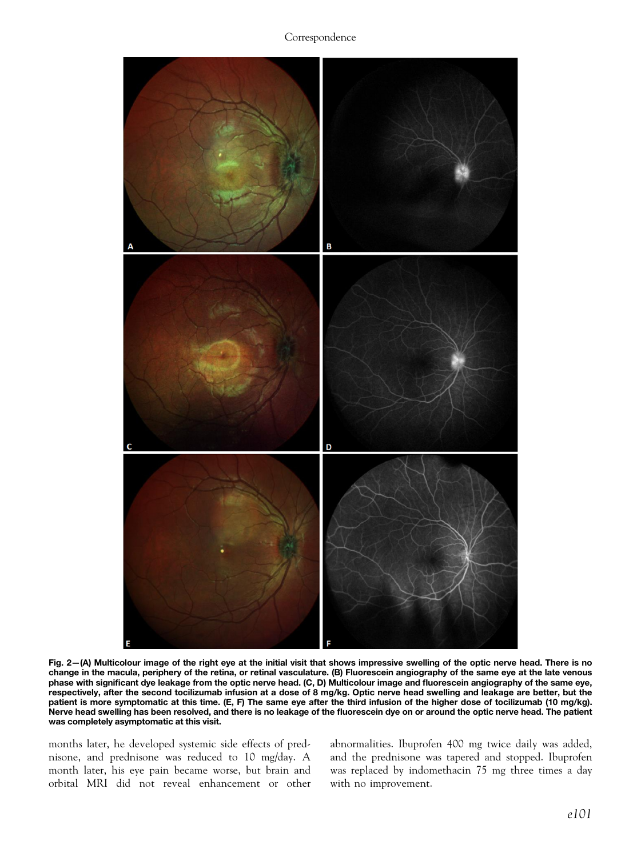Correspondence

<span id="page-1-0"></span>

Fig. 2—(A) Multicolour image of the right eye at the initial visit that shows impressive swelling of the optic nerve head. There is no change in the macula, periphery of the retina, or retinal vasculature. (B) Fluorescein angiography of the same eye at the late venous phase with significant dye leakage from the optic nerve head. (C, D) Multicolour image and fluorescein angiography of the same eye, respectively, after the second tocilizumab infusion at a dose of 8 mg/kg. Optic nerve head swelling and leakage are better, but the patient is more symptomatic at this time. (E, F) The same eye after the third infusion of the higher dose of tocilizumab (10 mg/kg). Nerve head swelling has been resolved, and there is no leakage of the fluorescein dye on or around the optic nerve head. The patient was completely asymptomatic at this visit.

months later, he developed systemic side effects of prednisone, and prednisone was reduced to 10 mg/day. A month later, his eye pain became worse, but brain and orbital MRI did not reveal enhancement or other abnormalities. Ibuprofen 400 mg twice daily was added, and the prednisone was tapered and stopped. Ibuprofen was replaced by indomethacin 75 mg three times a day with no improvement.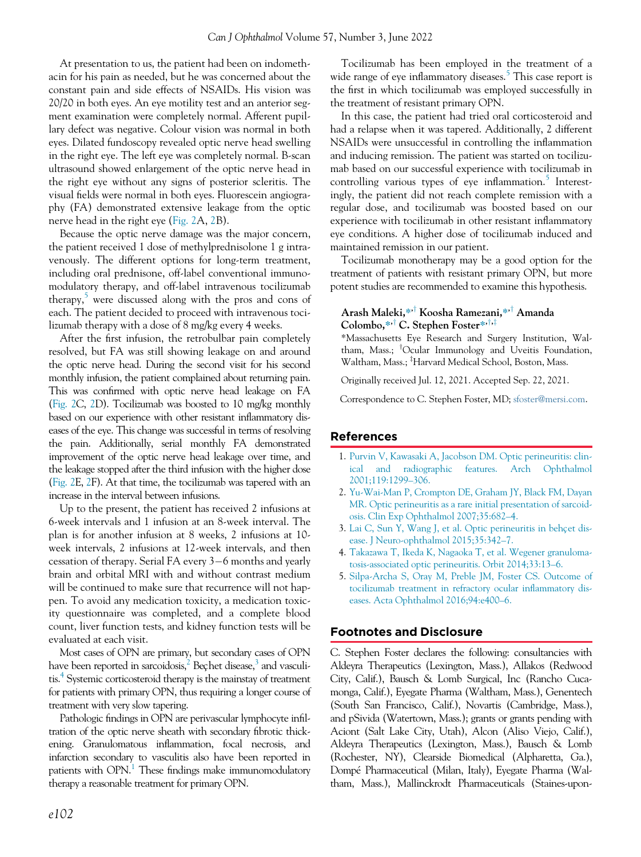At presentation to us, the patient had been on indomethacin for his pain as needed, but he was concerned about the constant pain and side effects of NSAIDs. His vision was 20/20 in both eyes. An eye motility test and an anterior segment examination were completely normal. Afferent pupillary defect was negative. Colour vision was normal in both eyes. Dilated fundoscopy revealed optic nerve head swelling in the right eye. The left eye was completely normal. B-scan ultrasound showed enlargement of the optic nerve head in the right eye without any signs of posterior scleritis. The visual fields were normal in both eyes. Fluorescein angiography (FA) demonstrated extensive leakage from the optic nerve head in the right eye ([Fig. 2](#page-1-0)A, [2](#page-1-0)B).

Because the optic nerve damage was the major concern, the patient received 1 dose of methylprednisolone 1 g intravenously. The different options for long-term treatment, including oral prednisone, off-label conventional immunomodulatory therapy, and off-label intravenous tocilizumab therapy, $\frac{5}{3}$  $\frac{5}{3}$  $\frac{5}{3}$  were discussed along with the pros and cons of each. The patient decided to proceed with intravenous tocilizumab therapy with a dose of 8 mg/kg every 4 weeks.

After the first infusion, the retrobulbar pain completely resolved, but FA was still showing leakage on and around the optic nerve head. During the second visit for his second monthly infusion, the patient complained about returning pain. This was confirmed with optic nerve head leakage on FA [\(Fig. 2C](#page-1-0), [2D](#page-1-0)). Tocilizumab was boosted to 10 mg/kg monthly based on our experience with other resistant inflammatory diseases of the eye. This change was successful in terms of resolving the pain. Additionally, serial monthly FA demonstrated improvement of the optic nerve head leakage over time, and the leakage stopped after the third infusion with the higher dose [\(Fig. 2E](#page-1-0), [2](#page-1-0)F). At that time, the tocilizumab was tapered with an increase in the interval between infusions.

<span id="page-2-4"></span><span id="page-2-3"></span><span id="page-2-2"></span><span id="page-2-1"></span><span id="page-2-0"></span>Up to the present, the patient has received 2 infusions at 6-week intervals and 1 infusion at an 8-week interval. The plan is for another infusion at 8 weeks, 2 infusions at 10 week intervals, 2 infusions at 12-week intervals, and then cessation of therapy. Serial FA every  $3-6$  months and yearly brain and orbital MRI with and without contrast medium will be continued to make sure that recurrence will not happen. To avoid any medication toxicity, a medication toxicity questionnaire was completed, and a complete blood count, liver function tests, and kidney function tests will be evaluated at each visit.

Most cases of OPN are primary, but secondary cases of OPN have been reported in sarcoidosis, $^{2}$  Bechet disease, $^{3}$  $^{3}$  $^{3}$  and vasculitis[.4](#page-2-4) Systemic corticosteroid therapy is the mainstay of treatment for patients with primary OPN, thus requiring a longer course of treatment with very slow tapering.

Pathologic findings in OPN are perivascular lymphocyte infiltration of the optic nerve sheath with secondary fibrotic thickening. Granulomatous inflammation, focal necrosis, and infarction secondary to vasculitis also have been reported in patients with  $OPN<sup>1</sup>$  $OPN<sup>1</sup>$  $OPN<sup>1</sup>$ . These findings make immunomodulatory therapy a reasonable treatment for primary OPN.

Tocilizumab has been employed in the treatment of a wide range of eye inflammatory diseases.<sup>[5](#page-2-1)</sup> This case report is the first in which tocilizumab was employed successfully in the treatment of resistant primary OPN.

In this case, the patient had tried oral corticosteroid and had a relapse when it was tapered. Additionally, 2 different NSAIDs were unsuccessful in controlling the inflammation and inducing remission. The patient was started on tocilizumab based on our successful experience with tocilizumab in controlling various types of eye inflammation.<sup>[5](#page-2-1)</sup> Interestingly, the patient did not reach complete remission with a regular dose, and tocilizumab was boosted based on our experience with tocilizumab in other resistant inflammatory eye conditions. A higher dose of tocilizumab induced and maintained remission in our patient.

Tocilizumab monotherapy may be a good option for the treatment of patients with resistant primary OPN, but more potent studies are recommended to examine this hypothesis.

#### Arash Maleki,\*<sup>,†</sup> Koosha Ramezani,\*<sup>,†</sup> Amanda Colombo,\* $\cdot$ <sup>\*,†</sup> C. Stephen Foster<sup>\*,†,‡</sup>

\*Massachusetts Eye Research and Surgery Institution, Waltham, Mass.; <sup>†</sup>Ocular Immunology and Uveitis Foundation, Waltham, Mass.; <sup>‡</sup>Harvard Medical School, Boston, Mass.

Originally received Jul. 12, 2021. Accepted Sep. 22, 2021.

Correspondence to C. Stephen Foster, MD; [sfoster@mersi.com](mailto:sfoster@mersi.com).

### References

- 1. [Purvin V, Kawasaki A, Jacobson DM. Optic perineuritis: clin](http://refhub.elsevier.com/S0008-4182(21)00301-X/sbref0001_2248)[ical and radiographic features. Arch Ophthalmol](http://refhub.elsevier.com/S0008-4182(21)00301-X/sbref0001_2248) [2001;119:1299](http://refhub.elsevier.com/S0008-4182(21)00301-X/sbref0001_2248)–306.
- 2. [Yu-Wai-Man P, Crompton DE, Graham JY, Black FM, Dayan](http://refhub.elsevier.com/S0008-4182(21)00301-X/sbref0002_2248) [MR. Optic perineuritis as a rare initial presentation of sarcoid](http://refhub.elsevier.com/S0008-4182(21)00301-X/sbref0002_2248)[osis. Clin Exp Ophthalmol 2007;35:682](http://refhub.elsevier.com/S0008-4182(21)00301-X/sbref0002_2248)–4.
- 3. [Lai C, Sun Y, Wang J, et al. Optic perineuritis in beh](http://refhub.elsevier.com/S0008-4182(21)00301-X/sbref0003_2248)ç[et dis](http://refhub.elsevier.com/S0008-4182(21)00301-X/sbref0003_2248) [ease. J Neuro-ophthalmol 2015;35:342](http://refhub.elsevier.com/S0008-4182(21)00301-X/sbref0003_2248)–7.
- 4. [Takazawa T, Ikeda K, Nagaoka T, et al. Wegener granuloma](http://refhub.elsevier.com/S0008-4182(21)00301-X/sbref0004_2248)[tosis-associated optic perineuritis. Orbit 2014;33:13](http://refhub.elsevier.com/S0008-4182(21)00301-X/sbref0004_2248)–6.
- 5. [Silpa-Archa S, Oray M, Preble JM, Foster CS. Outcome of](http://refhub.elsevier.com/S0008-4182(21)00301-X/sbref0005_2248) [tocilizumab treatment in refractory ocular in](http://refhub.elsevier.com/S0008-4182(21)00301-X/sbref0005_2248)flammatory dis[eases. Acta Ophthalmol 2016;94:e400](http://refhub.elsevier.com/S0008-4182(21)00301-X/sbref0005_2248)–6.

#### Footnotes and Disclosure

C. Stephen Foster declares the following: consultancies with Aldeyra Therapeutics (Lexington, Mass.), Allakos (Redwood City, Calif.), Bausch & Lomb Surgical, Inc (Rancho Cucamonga, Calif.), Eyegate Pharma (Waltham, Mass.), Genentech (South San Francisco, Calif.), Novartis (Cambridge, Mass.), and pSivida (Watertown, Mass.); grants or grants pending with Aciont (Salt Lake City, Utah), Alcon (Aliso Viejo, Calif.), Aldeyra Therapeutics (Lexington, Mass.), Bausch & Lomb (Rochester, NY), Clearside Biomedical (Alpharetta, Ga.), Dompe Pharmaceutical (Milan, Italy), Eyegate Pharma (Waltham, Mass.), Mallinckrodt Pharmaceuticals (Staines-upon